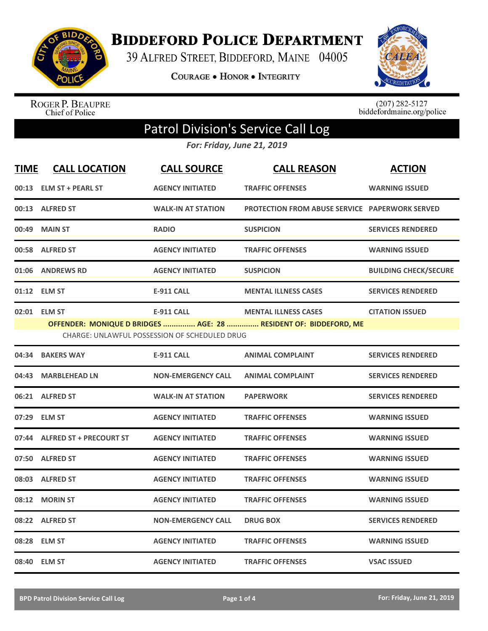

**BIDDEFORD POLICE DEPARTMENT** 

39 ALFRED STREET, BIDDEFORD, MAINE 04005

**COURAGE . HONOR . INTEGRITY** 



ROGER P. BEAUPRE<br>Chief of Police

 $(207)$  282-5127<br>biddefordmaine.org/police

## Patrol Division's Service Call Log

*For: Friday, June 21, 2019*

| <b>TIME</b> | <b>CALL LOCATION</b>           | <b>CALL SOURCE</b>                                                 | <b>CALL REASON</b>                                                                              | <b>ACTION</b>                |
|-------------|--------------------------------|--------------------------------------------------------------------|-------------------------------------------------------------------------------------------------|------------------------------|
| 00:13       | <b>ELM ST + PEARL ST</b>       | <b>AGENCY INITIATED</b>                                            | <b>TRAFFIC OFFENSES</b>                                                                         | <b>WARNING ISSUED</b>        |
|             | 00:13 ALFRED ST                | <b>WALK-IN AT STATION</b>                                          | <b>PROTECTION FROM ABUSE SERVICE PAPERWORK SERVED</b>                                           |                              |
| 00:49       | <b>MAIN ST</b>                 | <b>RADIO</b>                                                       | <b>SUSPICION</b>                                                                                | <b>SERVICES RENDERED</b>     |
| 00:58       | <b>ALFRED ST</b>               | <b>AGENCY INITIATED</b>                                            | <b>TRAFFIC OFFENSES</b>                                                                         | <b>WARNING ISSUED</b>        |
| 01:06       | <b>ANDREWS RD</b>              | <b>AGENCY INITIATED</b>                                            | <b>SUSPICION</b>                                                                                | <b>BUILDING CHECK/SECURE</b> |
| 01:12       | <b>ELM ST</b>                  | <b>E-911 CALL</b>                                                  | <b>MENTAL ILLNESS CASES</b>                                                                     | <b>SERVICES RENDERED</b>     |
|             | 02:01 ELM ST                   | <b>E-911 CALL</b><br>CHARGE: UNLAWFUL POSSESSION OF SCHEDULED DRUG | <b>MENTAL ILLNESS CASES</b><br>OFFENDER: MONIQUE D BRIDGES  AGE: 28  RESIDENT OF: BIDDEFORD, ME | <b>CITATION ISSUED</b>       |
| 04:34       | <b>BAKERS WAY</b>              | <b>E-911 CALL</b>                                                  | <b>ANIMAL COMPLAINT</b>                                                                         | <b>SERVICES RENDERED</b>     |
| 04:43       | <b>MARBLEHEAD LN</b>           | <b>NON-EMERGENCY CALL</b>                                          | <b>ANIMAL COMPLAINT</b>                                                                         | <b>SERVICES RENDERED</b>     |
|             | 06:21 ALFRED ST                | <b>WALK-IN AT STATION</b>                                          | <b>PAPERWORK</b>                                                                                | <b>SERVICES RENDERED</b>     |
| 07:29       | <b>ELM ST</b>                  | <b>AGENCY INITIATED</b>                                            | <b>TRAFFIC OFFENSES</b>                                                                         | <b>WARNING ISSUED</b>        |
| 07:44       | <b>ALFRED ST + PRECOURT ST</b> | <b>AGENCY INITIATED</b>                                            | <b>TRAFFIC OFFENSES</b>                                                                         | <b>WARNING ISSUED</b>        |
| 07:50       | <b>ALFRED ST</b>               | <b>AGENCY INITIATED</b>                                            | <b>TRAFFIC OFFENSES</b>                                                                         | <b>WARNING ISSUED</b>        |
| 08:03       | <b>ALFRED ST</b>               | <b>AGENCY INITIATED</b>                                            | <b>TRAFFIC OFFENSES</b>                                                                         | <b>WARNING ISSUED</b>        |
| 08:12       | <b>MORIN ST</b>                | <b>AGENCY INITIATED</b>                                            | <b>TRAFFIC OFFENSES</b>                                                                         | <b>WARNING ISSUED</b>        |
| 08:22       | <b>ALFRED ST</b>               | <b>NON-EMERGENCY CALL</b>                                          | <b>DRUG BOX</b>                                                                                 | <b>SERVICES RENDERED</b>     |
| 08:28       | <b>ELM ST</b>                  | <b>AGENCY INITIATED</b>                                            | <b>TRAFFIC OFFENSES</b>                                                                         | <b>WARNING ISSUED</b>        |
| 08:40       | <b>ELM ST</b>                  | <b>AGENCY INITIATED</b>                                            | <b>TRAFFIC OFFENSES</b>                                                                         | <b>VSAC ISSUED</b>           |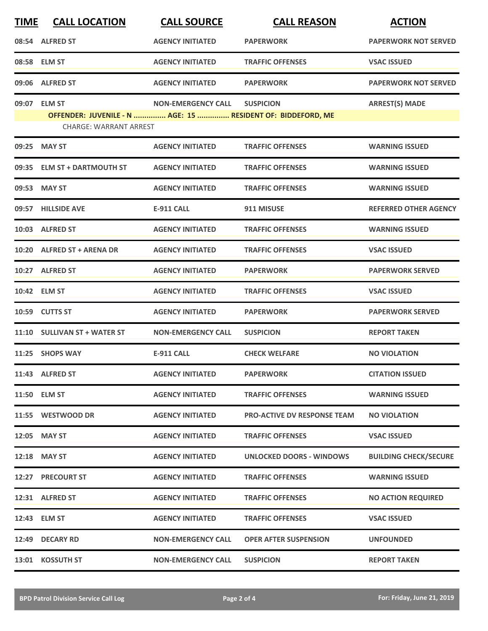| <b>TIME</b> | <b>CALL LOCATION</b>          | <b>CALL SOURCE</b>        | <b>CALL REASON</b>                                          | <b>ACTION</b>                |
|-------------|-------------------------------|---------------------------|-------------------------------------------------------------|------------------------------|
|             | 08:54 ALFRED ST               | <b>AGENCY INITIATED</b>   | <b>PAPERWORK</b>                                            | <b>PAPERWORK NOT SERVED</b>  |
|             | 08:58 ELM ST                  | <b>AGENCY INITIATED</b>   | <b>TRAFFIC OFFENSES</b>                                     | <b>VSAC ISSUED</b>           |
|             | 09:06 ALFRED ST               | <b>AGENCY INITIATED</b>   | <b>PAPERWORK</b>                                            | <b>PAPERWORK NOT SERVED</b>  |
|             | 09:07 ELM ST                  | <b>NON-EMERGENCY CALL</b> | <b>SUSPICION</b>                                            | <b>ARREST(S) MADE</b>        |
|             | <b>CHARGE: WARRANT ARREST</b> |                           | OFFENDER: JUVENILE - N  AGE: 15  RESIDENT OF: BIDDEFORD, ME |                              |
|             | 09:25 MAY ST                  | <b>AGENCY INITIATED</b>   | <b>TRAFFIC OFFENSES</b>                                     | <b>WARNING ISSUED</b>        |
|             | 09:35 ELM ST + DARTMOUTH ST   | <b>AGENCY INITIATED</b>   | <b>TRAFFIC OFFENSES</b>                                     | <b>WARNING ISSUED</b>        |
| 09:53       | <b>MAY ST</b>                 | <b>AGENCY INITIATED</b>   | <b>TRAFFIC OFFENSES</b>                                     | <b>WARNING ISSUED</b>        |
|             | 09:57 HILLSIDE AVE            | <b>E-911 CALL</b>         | 911 MISUSE                                                  | <b>REFERRED OTHER AGENCY</b> |
|             | 10:03 ALFRED ST               | <b>AGENCY INITIATED</b>   | <b>TRAFFIC OFFENSES</b>                                     | <b>WARNING ISSUED</b>        |
|             | 10:20 ALFRED ST + ARENA DR    | <b>AGENCY INITIATED</b>   | <b>TRAFFIC OFFENSES</b>                                     | <b>VSAC ISSUED</b>           |
|             | 10:27 ALFRED ST               | <b>AGENCY INITIATED</b>   | <b>PAPERWORK</b>                                            | <b>PAPERWORK SERVED</b>      |
|             | 10:42 ELM ST                  | <b>AGENCY INITIATED</b>   | <b>TRAFFIC OFFENSES</b>                                     | <b>VSAC ISSUED</b>           |
|             | 10:59 CUTTS ST                | <b>AGENCY INITIATED</b>   | <b>PAPERWORK</b>                                            | <b>PAPERWORK SERVED</b>      |
|             | 11:10 SULLIVAN ST + WATER ST  | <b>NON-EMERGENCY CALL</b> | <b>SUSPICION</b>                                            | <b>REPORT TAKEN</b>          |
|             | 11:25 SHOPS WAY               | <b>E-911 CALL</b>         | <b>CHECK WELFARE</b>                                        | <b>NO VIOLATION</b>          |
|             | 11:43 ALFRED ST               | <b>AGENCY INITIATED</b>   | <b>PAPERWORK</b>                                            | <b>CITATION ISSUED</b>       |
|             | 11:50 ELM ST                  | <b>AGENCY INITIATED</b>   | <b>TRAFFIC OFFENSES</b>                                     | <b>WARNING ISSUED</b>        |
|             | 11:55 WESTWOOD DR             | <b>AGENCY INITIATED</b>   | <b>PRO-ACTIVE DV RESPONSE TEAM</b>                          | <b>NO VIOLATION</b>          |
|             | 12:05 MAY ST                  | <b>AGENCY INITIATED</b>   | <b>TRAFFIC OFFENSES</b>                                     | <b>VSAC ISSUED</b>           |
|             | 12:18 MAY ST                  | <b>AGENCY INITIATED</b>   | UNLOCKED DOORS - WINDOWS                                    | <b>BUILDING CHECK/SECURE</b> |
|             | 12:27 PRECOURT ST             | <b>AGENCY INITIATED</b>   | <b>TRAFFIC OFFENSES</b>                                     | <b>WARNING ISSUED</b>        |
|             | 12:31 ALFRED ST               | <b>AGENCY INITIATED</b>   | <b>TRAFFIC OFFENSES</b>                                     | <b>NO ACTION REQUIRED</b>    |
|             | 12:43 ELM ST                  | <b>AGENCY INITIATED</b>   | <b>TRAFFIC OFFENSES</b>                                     | <b>VSAC ISSUED</b>           |
|             | 12:49 DECARY RD               | <b>NON-EMERGENCY CALL</b> | <b>OPER AFTER SUSPENSION</b>                                | <b>UNFOUNDED</b>             |
|             | 13:01 KOSSUTH ST              | <b>NON-EMERGENCY CALL</b> | <b>SUSPICION</b>                                            | <b>REPORT TAKEN</b>          |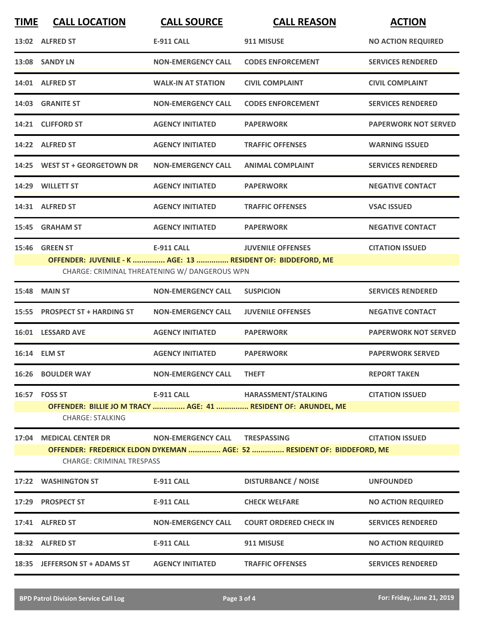| <b>TIME</b> | <b>CALL LOCATION</b>                                                                                       | <b>CALL SOURCE</b>                            | <b>CALL REASON</b>                                             | <b>ACTION</b>               |  |
|-------------|------------------------------------------------------------------------------------------------------------|-----------------------------------------------|----------------------------------------------------------------|-----------------------------|--|
|             | 13:02 ALFRED ST                                                                                            | <b>E-911 CALL</b>                             | 911 MISUSE                                                     | <b>NO ACTION REQUIRED</b>   |  |
|             | 13:08 SANDY LN                                                                                             | <b>NON-EMERGENCY CALL</b>                     | <b>CODES ENFORCEMENT</b>                                       | <b>SERVICES RENDERED</b>    |  |
|             | 14:01 ALFRED ST                                                                                            | <b>WALK-IN AT STATION</b>                     | <b>CIVIL COMPLAINT</b>                                         | <b>CIVIL COMPLAINT</b>      |  |
|             | 14:03 GRANITE ST                                                                                           | <b>NON-EMERGENCY CALL</b>                     | <b>CODES ENFORCEMENT</b>                                       | <b>SERVICES RENDERED</b>    |  |
|             | 14:21 CLIFFORD ST                                                                                          | <b>AGENCY INITIATED</b>                       | <b>PAPERWORK</b>                                               | <b>PAPERWORK NOT SERVED</b> |  |
|             | 14:22 ALFRED ST                                                                                            | <b>AGENCY INITIATED</b>                       | <b>TRAFFIC OFFENSES</b>                                        | <b>WARNING ISSUED</b>       |  |
|             | 14:25 WEST ST + GEORGETOWN DR                                                                              | <b>NON-EMERGENCY CALL</b>                     | <b>ANIMAL COMPLAINT</b>                                        | <b>SERVICES RENDERED</b>    |  |
|             | 14:29 WILLETT ST                                                                                           | <b>AGENCY INITIATED</b>                       | <b>PAPERWORK</b>                                               | <b>NEGATIVE CONTACT</b>     |  |
|             | 14:31 ALFRED ST                                                                                            | <b>AGENCY INITIATED</b>                       | <b>TRAFFIC OFFENSES</b>                                        | <b>VSAC ISSUED</b>          |  |
| 15:45       | <b>GRAHAM ST</b>                                                                                           | <b>AGENCY INITIATED</b>                       | <b>PAPERWORK</b>                                               | <b>NEGATIVE CONTACT</b>     |  |
| 15:46       | <b>GREEN ST</b>                                                                                            | <b>E-911 CALL</b>                             | <b>JUVENILE OFFENSES</b>                                       | <b>CITATION ISSUED</b>      |  |
|             | OFFENDER: JUVENILE - K  AGE: 13  RESIDENT OF: BIDDEFORD, ME                                                | CHARGE: CRIMINAL THREATENING W/ DANGEROUS WPN |                                                                |                             |  |
| 15:48       | <b>MAIN ST</b>                                                                                             | <b>NON-EMERGENCY CALL</b>                     | <b>SUSPICION</b>                                               | <b>SERVICES RENDERED</b>    |  |
| 15:55       | <b>PROSPECT ST + HARDING ST</b>                                                                            | <b>NON-EMERGENCY CALL</b>                     | <b>JUVENILE OFFENSES</b>                                       | <b>NEGATIVE CONTACT</b>     |  |
|             | 16:01 LESSARD AVE                                                                                          | <b>AGENCY INITIATED</b>                       | <b>PAPERWORK</b>                                               | <b>PAPERWORK NOT SERVED</b> |  |
|             | 16:14 ELM ST                                                                                               | <b>AGENCY INITIATED</b>                       | <b>PAPERWORK</b>                                               | <b>PAPERWORK SERVED</b>     |  |
|             | 16:26 BOULDER WAY                                                                                          | <b>NON-EMERGENCY CALL</b>                     | <b>THEFT</b>                                                   | <b>REPORT TAKEN</b>         |  |
| 16:57       | <b>FOSS ST</b>                                                                                             | <b>E-911 CALL</b>                             | HARASSMENT/STALKING                                            | <b>CITATION ISSUED</b>      |  |
|             | <b>CHARGE: STALKING</b>                                                                                    |                                               | OFFENDER: BILLIE JO M TRACY  AGE: 41  RESIDENT OF: ARUNDEL, ME |                             |  |
| 17:04       | <b>MEDICAL CENTER DR</b>                                                                                   | <b>NON-EMERGENCY CALL</b>                     | <b>TRESPASSING</b>                                             | <b>CITATION ISSUED</b>      |  |
|             | OFFENDER: FREDERICK ELDON DYKEMAN  AGE: 52  RESIDENT OF: BIDDEFORD, ME<br><b>CHARGE: CRIMINAL TRESPASS</b> |                                               |                                                                |                             |  |
|             | 17:22 WASHINGTON ST                                                                                        | E-911 CALL                                    | <b>DISTURBANCE / NOISE</b>                                     | <b>UNFOUNDED</b>            |  |
| 17:29       | <b>PROSPECT ST</b>                                                                                         | <b>E-911 CALL</b>                             | <b>CHECK WELFARE</b>                                           | <b>NO ACTION REQUIRED</b>   |  |
|             | 17:41 ALFRED ST                                                                                            | <b>NON-EMERGENCY CALL</b>                     | <b>COURT ORDERED CHECK IN</b>                                  | <b>SERVICES RENDERED</b>    |  |
|             | 18:32 ALFRED ST                                                                                            | E-911 CALL                                    | 911 MISUSE                                                     | <b>NO ACTION REQUIRED</b>   |  |
|             | 18:35 JEFFERSON ST + ADAMS ST                                                                              | <b>AGENCY INITIATED</b>                       | <b>TRAFFIC OFFENSES</b>                                        | <b>SERVICES RENDERED</b>    |  |